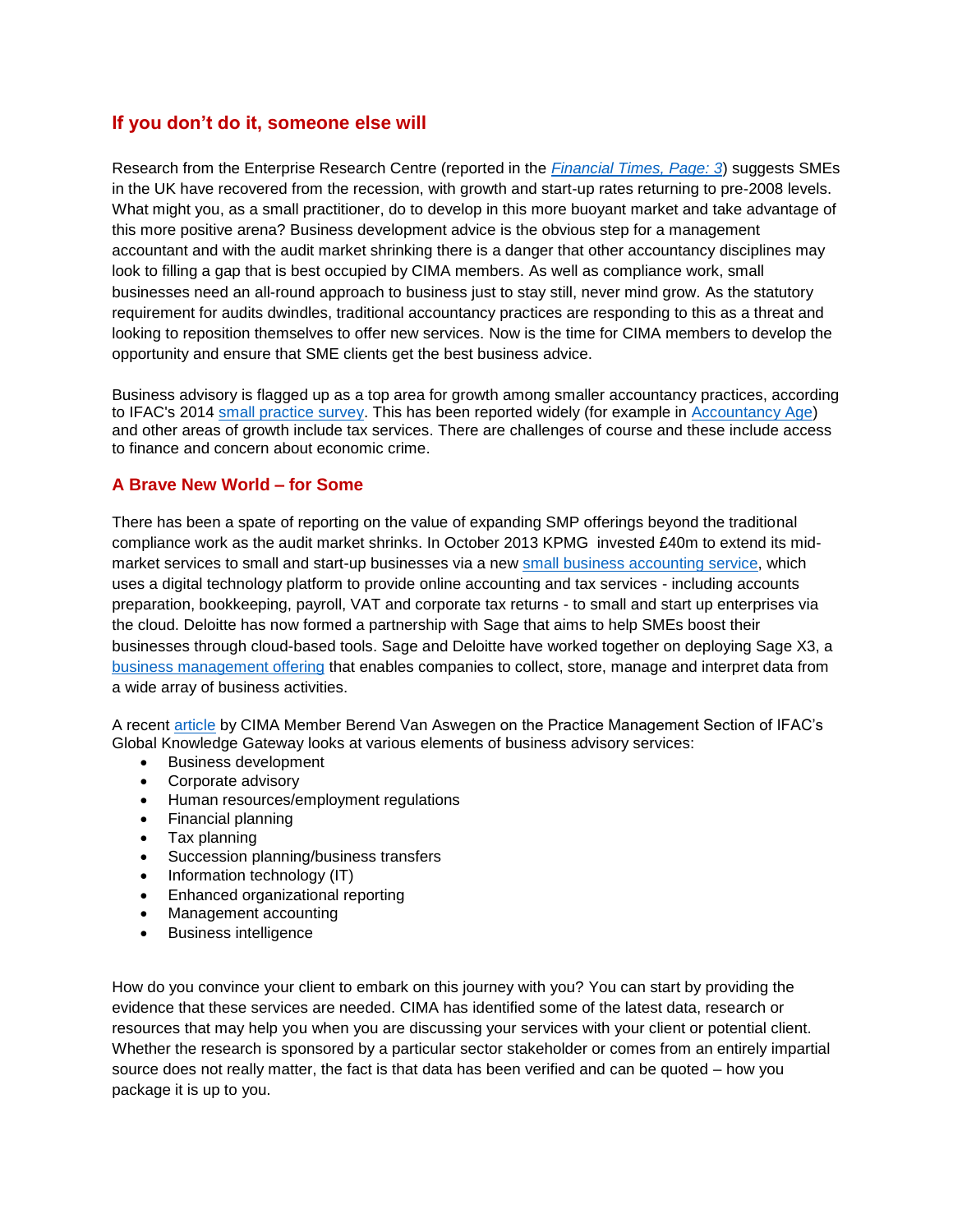# **If you don't do it, someone else will**

Research from the Enterprise Research Centre (reported in the *[Financial Times, Page: 3](http://www.ft.com/cms/s/0/c0bbf34c-1335-11e5-bd3c-00144feabdc0.html#axzz3d4SfGs4p)*) suggests SMEs in the UK have recovered from the recession, with growth and start-up rates returning to pre-2008 levels. What might you, as a small practitioner, do to develop in this more buoyant market and take advantage of this more positive arena? Business development advice is the obvious step for a management accountant and with the audit market shrinking there is a danger that other accountancy disciplines may look to filling a gap that is best occupied by CIMA members. As well as compliance work, small businesses need an all-round approach to business just to stay still, never mind grow. As the statutory requirement for audits dwindles, traditional accountancy practices are responding to this as a threat and looking to reposition themselves to offer new services. Now is the time for CIMA members to develop the opportunity and ensure that SME clients get the best business advice.

Business advisory is flagged up as a top area for growth among smaller accountancy practices, according to IFAC's 2014 [small practice survey.](http://www.ifac.org/publications-resources/ifac-global-smp-survey-2014-results) This has been reported widely (for example in [Accountancy Age\)](http://email.accountancyage.com/c/137ynCjTlEosKO5yoIbGJsFb53uZ) and other areas of growth include tax services. There are challenges of course and these include access to finance and concern about economic crime.

## **A Brave New World – for Some**

There has been a spate of reporting on the value of expanding SMP offerings beyond the traditional compliance work as the audit market shrinks. In October 2013 KPMG invested £40m to extend its midmarket services to small and start-up businesses via a new [small business accounting](http://www.accountancyage.com/aa/news/2376794/kpmg-launches-gbp40m-enterprise-offering-for-smes?utm_term=&utm_content=KPMG%20launches%20%C2%A340m%20enterprise%20offering%20for%20SMEs&utm_campaign=AA.Business_Briefing_RL.EU.A.U&utm_medium=Email&utm_source=A) service, which uses a digital technology platform to provide online accounting and tax services - including accounts preparation, bookkeeping, payroll, VAT and corporate tax returns - to small and start up enterprises via the cloud. Deloitte has now formed a partnership with Sage that aims to help SMEs boost their businesses through cloud-based tools. Sage and Deloitte have worked together on deploying Sage X3, a [business management offering](http://www.accountancyage.com/aa/news/2419995/deloitte-ties-up-with-sage-to-target-sme-market) that enables companies to collect, store, manage and interpret data from a wide array of business activities.

A recent [article](http://www.ifac.org/global-knowledge-gateway/practice-management/discussion/relevant-service-offerings-practice-future) by CIMA Member Berend Van Aswegen on the Practice Management Section of IFAC's Global Knowledge Gateway looks at various elements of business advisory services:

- Business development
- Corporate advisory
- Human resources/employment regulations
- Financial planning
- Tax planning
- Succession planning/business transfers
- Information technology (IT)
- Enhanced organizational reporting
- Management accounting
- **•** Business intelligence

How do you convince your client to embark on this journey with you? You can start by providing the evidence that these services are needed. CIMA has identified some of the latest data, research or resources that may help you when you are discussing your services with your client or potential client. Whether the research is sponsored by a particular sector stakeholder or comes from an entirely impartial source does not really matter, the fact is that data has been verified and can be quoted – how you package it is up to you.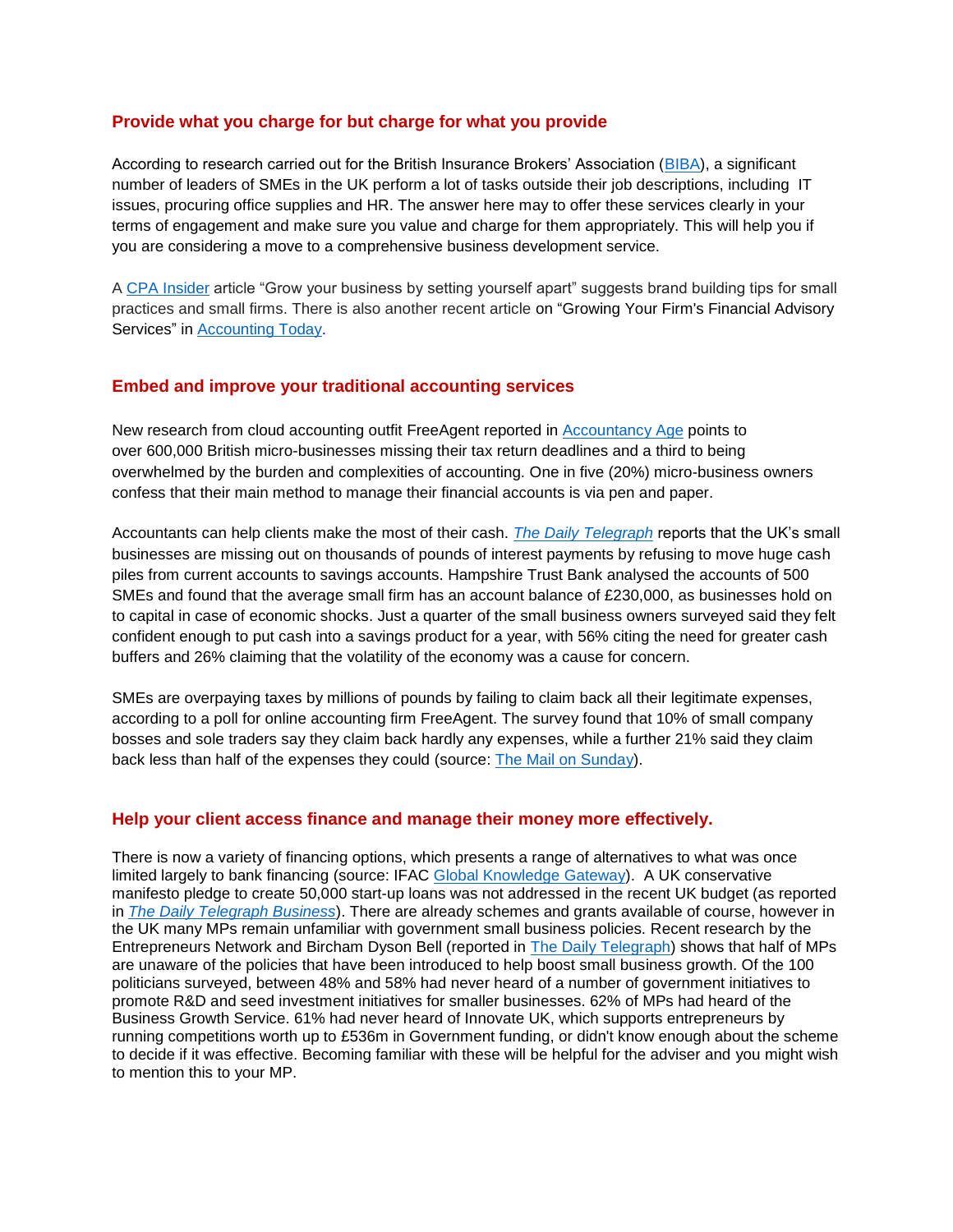## **Provide what you charge for but charge for what you provide**

According to research carried out for the British Insurance Brokers' Association [\(BIBA\)](http://www.insurancejournal.com/news/international/2015/06/18/372201.htm), a significant number of leaders of SMEs in the UK perform a lot of tasks outside their job descriptions, including IT issues, procuring office supplies and HR. The answer here may to offer these services clearly in your terms of engagement and make sure you value and charge for them appropriately. This will help you if you are considering a move to a comprehensive business development service.

A [CPA Insider](http://www.cpa2biz.com/Content/media/PRODUCER_CONTENT/Newsletters/Articles_2015/cpa/jul/brandbuildingtips.jsp) article "Grow your business by setting yourself apart" suggests brand building tips for small practices and small firms. There is also another recent article on "Growing Your Firm's Financial Advisory Services" in [Accounting Today.](http://www.accountingtoday.com/news/firm-profession/growing-your-firms-financial-advisory-services-75292-1.html#Login)

### **Embed and improve your traditional accounting services**

New research from cloud accounting outfit FreeAgent reported in [Accountancy Age](http://email.accountancyage.com/c/1AdohAxytu69Yvw39LEy8juGLUdX) points to over 600,000 British micro-businesses missing their tax return deadlines and a third to being overwhelmed by the burden and complexities of accounting. One in five (20%) micro-business owners confess that their main method to manage their financial accounts is via pen and paper.

Accountants can help clients make the most of their cash. *[The Daily Telegraph](http://www.telegraph.co.uk/finance/businessclub/11721584/Spooked-small-businesses-holding-on-to-cash-in-case-of-economic-shocks.html)* reports that the UK's small businesses are missing out on thousands of pounds of interest payments by refusing to move huge cash piles from current accounts to savings accounts. Hampshire Trust Bank analysed the accounts of 500 SMEs and found that the average small firm has an account balance of £230,000, as businesses hold on to capital in case of economic shocks. Just a quarter of the small business owners surveyed said they felt confident enough to put cash into a savings product for a year, with 56% citing the need for greater cash buffers and 26% claiming that the volatility of the economy was a cause for concern.

SMEs are overpaying taxes by millions of pounds by failing to claim back all their legitimate expenses, according to a poll for online accounting firm FreeAgent. The survey found that 10% of small company bosses and sole traders say they claim back hardly any expenses, while a further 21% said they claim back less than half of the expenses they could (source: [The Mail on Sunday\)](http://www.dailymail.co.uk/money/smallbusiness/article-3142148/Small-firms-overpaying-taxes-millions-pounds-failing-claim-legitimate-expenses.html).

### **Help your client access finance and manage their money more effectively.**

There is now a variety of financing options, which presents a range of alternatives to what was once limited largely to bank financing (source: IFAC [Global Knowledge Gateway\)](http://www.ifac.org/global-knowledge-gateway/viewpoints/innovation-financing-smes-opportunity-smps?utm_medium=email&utm_source=transactional&utm_campaign=GKG_Latest). A UK conservative manifesto pledge to create 50,000 start-up loans was not addressed in the recent UK budget (as reported in *[The Daily Telegraph Business](http://www.telegraph.co.uk/finance/budget/11726603/Budget-2015-How-will-it-affect-small-and-medium-sized-businesses.html)*). There are already schemes and grants available of course, however in the UK many MPs remain unfamiliar with government small business policies. Recent research by the Entrepreneurs Network and Bircham Dyson Bell (reported in [The Daily Telegraph\)](http://www.telegraph.co.uk/finance/yourbusiness/11741337/Half-of-MPs-unaware-of-Governments-small-business-policies.html) shows that half of MPs are unaware of the policies that have been introduced to help boost small business growth. Of the 100 politicians surveyed, between 48% and 58% had never heard of a number of government initiatives to promote R&D and seed investment initiatives for smaller businesses. 62% of MPs had heard of the Business Growth Service. 61% had never heard of Innovate UK, which supports entrepreneurs by running competitions worth up to £536m in Government funding, or didn't know enough about the scheme to decide if it was effective. Becoming familiar with these will be helpful for the adviser and you might wish to mention this to your MP.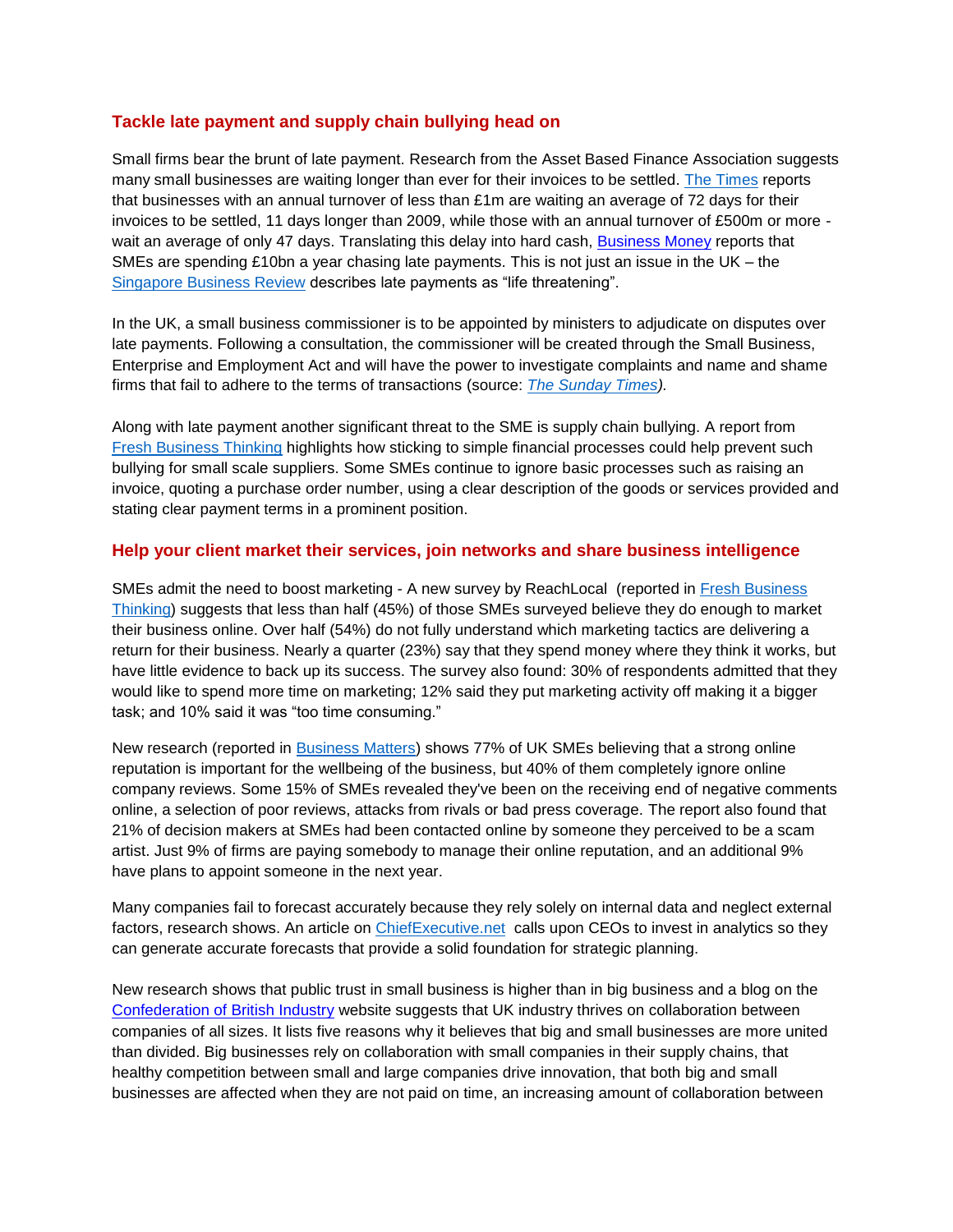## **Tackle late payment and supply chain bullying head on**

Small firms bear the brunt of late payment. Research from the Asset Based Finance Association suggests many small businesses are waiting longer than ever for their invoices to be settled. [The Times](http://www.thetimes.co.uk/tto/business/industries/banking/article4495715.ece) reports that businesses with an annual turnover of less than £1m are waiting an average of 72 days for their invoices to be settled, 11 days longer than 2009, while those with an annual turnover of £500m or more - wait an average of only 47 days. Translating this delay into hard cash, [Business Money](http://www.business-money.com/announcements/it-s-time-to-act-not-talk-as-smes-lose-billions) reports that SMEs are spending £10bn a year chasing late payments. This is not just an issue in the UK – the [Singapore Business Review](https://global.factiva.com/redir/default.aspx?P=er&AN=WC41997020150617eb6h00001&CAT=W&EP=NL&napc=MC&f=nv&erc=LVfLdDTapCBrFH93tOPKcQ7w4IbE9gUS4jL6KEXnQbw1V8O2vsuAukgryrzkGZRzFDQ2BIvOjeXhCDPs%2bldftJKpDTISB1i489WnhmjbHlEaLbl%2bAXNbNcTjPvLTmtjBP6c0osQEKGbOout5cuZLrB3unl66dbih2A29E6ISASXxzwl0RrzIjUbPTH5hVMg3z5MOYlJ8ZEHAD5NmSfYCfPg8UGasmHNh%7c2&AID=9IFA000100&DD=2015-06-22&nlId=441047&inledid=12710782&nlName=IFAC+Digest&nlEditionName=22+June+2015+Edition+10%3a35&nldtl=DrC6SfyFdYncFGA0yZzPgb6L7otiemdvMjwRjF5xj4AlRd6%2fgWtW%2bZYKdq%2bQz44zkrWkRorrqub%2bueOgRuMf2sl2Q0xsjbzbBkajsDodDiio0CNm2Fjt9vXhL%2f0elD%2b1Eof5rCfU4q4%3d%7c2&mod=MCT_email) describes late payments as "life threatening".

In the UK, a small business commissioner is to be appointed by ministers to adjudicate on disputes over late payments. Following a consultation, the commissioner will be created through the Small Business, Enterprise and Employment Act and will have the power to investigate complaints and name and shame firms that fail to adhere to the terms of transactions (source: *[The Sunday Times\)](http://www.thesundaytimes.co.uk/sto/business/small_business/article1585326.ece).*

Along with late payment another significant threat to the SME is supply chain bullying. A report from [Fresh Business Thinking](http://www.freshbusinessthinking.com/news.php?CID=5&NID=26280&PGID=1#.VYHuTflViko) highlights how sticking to simple financial processes could help prevent such bullying for small scale suppliers. Some SMEs continue to ignore basic processes such as raising an invoice, quoting a purchase order number, using a clear description of the goods or services provided and stating clear payment terms in a prominent position.

### **Help your client market their services, join networks and share business intelligence**

SMEs admit the need to boost marketing - A new survey by ReachLocal (reported in [Fresh Business](http://www.freshbusinessthinking.com/news.php?NID=26663#.VbgIx_lVikp)  [Thinking\)](http://www.freshbusinessthinking.com/news.php?NID=26663#.VbgIx_lVikp) suggests that less than half (45%) of those SMEs surveyed believe they do enough to market their business online. Over half (54%) do not fully understand which marketing tactics are delivering a return for their business. Nearly a quarter (23%) say that they spend money where they think it works, but have little evidence to back up its success. The survey also found: 30% of respondents admitted that they would like to spend more time on marketing; 12% said they put marketing activity off making it a bigger task; and 10% said it was "too time consuming."

New research (reported in [Business Matters\)](http://www.bmmagazine.co.uk/news/over-three-quarters-of-smes-say-having-a-good-online-reputation-is-important/) shows 77% of UK SMEs believing that a strong online reputation is important for the wellbeing of the business, but 40% of them completely ignore online company reviews. Some 15% of SMEs revealed they've been on the receiving end of negative comments online, a selection of poor reviews, attacks from rivals or bad press coverage. The report also found that 21% of decision makers at SMEs had been contacted online by someone they perceived to be a scam artist. Just 9% of firms are paying somebody to manage their online reputation, and an additional 9% have plans to appoint someone in the next year.

Many companies fail to forecast accurately because they rely solely on internal data and neglect external factors, research shows. An article on [ChiefExecutive.net](http://r.smartbrief.com/resp/gPvCCvfXnSCPgMaZCidWtvBWcNqOqy?format=standard) calls upon CEOs to invest in analytics so they can generate accurate forecasts that provide a solid foundation for strategic planning.

New research shows that public trust in small business is higher than in big business and a blog on the [Confederation of British Industry](http://news.cbi.org.uk/news/5-reasons-the-cbi-thinks-big-and-small-businesses-are-more-united-than-divided/) website suggests that UK industry thrives on collaboration between companies of all sizes. It lists five reasons why it believes that big and small businesses are more united than divided. Big businesses rely on collaboration with small companies in their supply chains, that healthy competition between small and large companies drive innovation, that both big and small businesses are affected when they are not paid on time, an increasing amount of collaboration between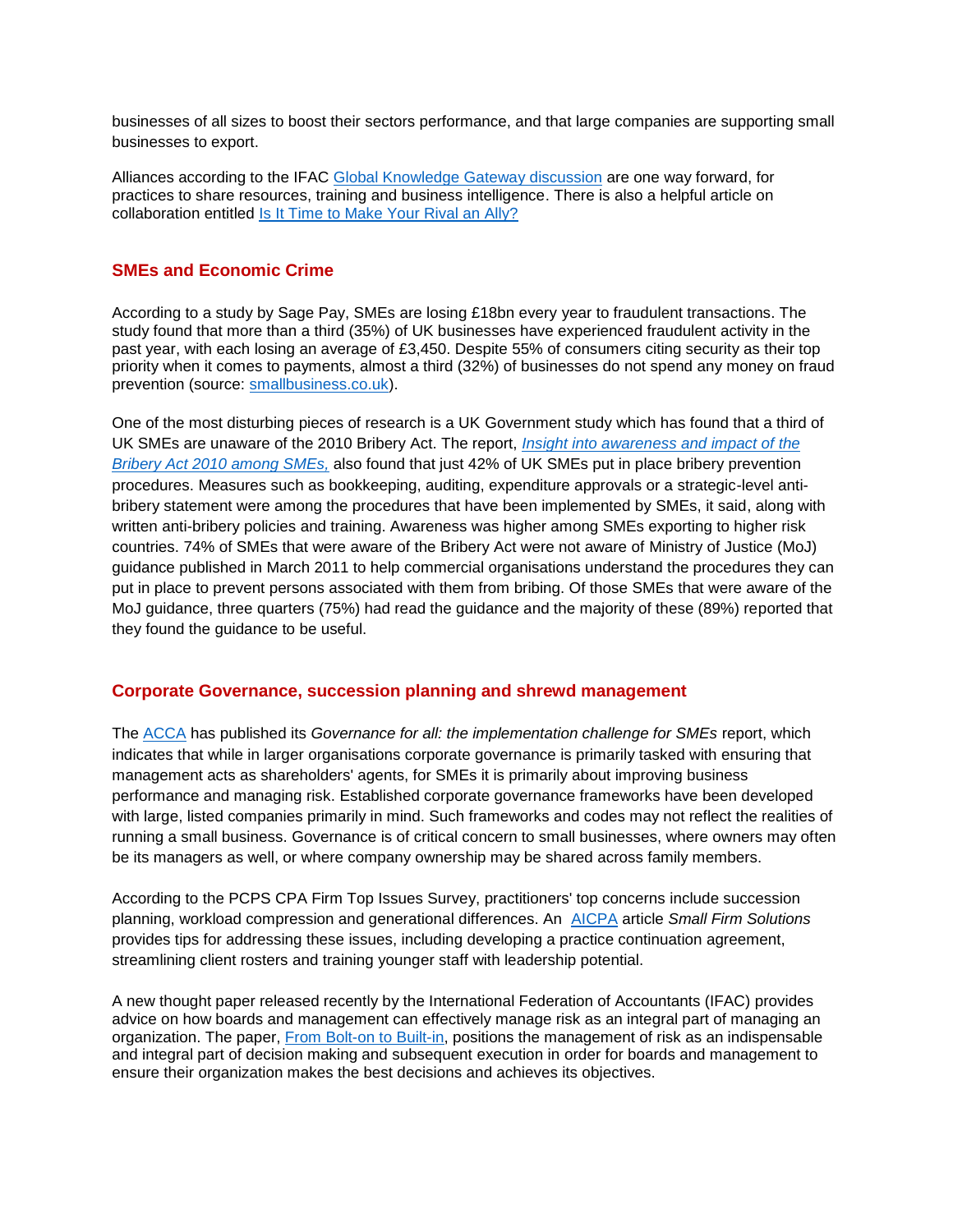businesses of all sizes to boost their sectors performance, and that large companies are supporting small businesses to export.

Alliances according to the IFAC [Global Knowledge Gateway discussion](http://mandrillapp.com/track/click/30185939/www.ifac.org?p=eyJzIjoiUWNHNldEaFN4VjkwNTdBTzFfcWxyZ3Ffck1rIiwidiI6MSwicCI6IntcInVcIjozMDE4NTkzOSxcInZcIjoxLFwidXJsXCI6XCJodHRwOlxcXC9cXFwvd3d3LmlmYWMub3JnXFxcL2dsb2JhbC1rbm93bGVkZ2UtZ2F0ZXdheVxcXC9wcmFjdGljZS1tYW5hZ2VtZW50XFxcL2Rpc2N1c3Npb25cXFwvaXQtdGltZS1tYWtlLXlvdXItcml2YWwtYWxseT91dG1fbWVkaXVtPWVtYWlsJnV0bV9zb3VyY2U9dHJhbnNhY3Rpb25hbCZ1dG1fY2FtcGFpZ249R0tHX0xhdGVzdFwiLFwiaWRcIjpcImNjODFjZmY0YWNmNzRjYTY5NmE1NTk2NDJiOWMyYjMzXCIsXCJ1cmxfaWRzXCI6W1wiMzlmZDA0N2NmYmM0ZTJhY2QzYzFhNWUwM2MyZDMwOWM2N2IzMTI2NlwiXX0ifQ) are one way forward, for practices to share resources, training and business intelligence. There is also a helpful article on collaboration entitled [Is It Time to Make Your Rival an Ally?](http://www.ifac.org/global-knowledge-gateway/practice-management/discussion/it-time-make-your-rival-ally)

## **SMEs and Economic Crime**

According to a study by Sage Pay, SMEs are losing £18bn every year to fraudulent transactions. The study found that more than a third (35%) of UK businesses have experienced fraudulent activity in the past year, with each losing an average of £3,450. Despite 55% of consumers citing security as their top priority when it comes to payments, almost a third (32%) of businesses do not spend any money on fraud prevention (source: [smallbusiness.co.uk\)](http://www.smallbusiness.co.uk/news/outlook/2488106/fraud-costs-uk-smes-billions-per-year.thtml).

One of the most disturbing pieces of research is a UK Government study which has found that a third of UK SMEs are unaware of the 2010 Bribery Act. The report, *[Insight into awareness and impact of the](https://www.gov.uk/government/uploads/system/uploads/attachment_data/file/440661/insight-into-awareness-and-impact-of-the-bribery-act-2010.pdf)  [Bribery Act 2010 among SMEs,](https://www.gov.uk/government/uploads/system/uploads/attachment_data/file/440661/insight-into-awareness-and-impact-of-the-bribery-act-2010.pdf)* also found that just 42% of UK SMEs put in place bribery prevention procedures. Measures such as bookkeeping, auditing, expenditure approvals or a strategic-level antibribery statement were among the procedures that have been implemented by SMEs, it said, along with written anti-bribery policies and training. Awareness was higher among SMEs exporting to higher risk countries. 74% of SMEs that were aware of the Bribery Act were not aware of Ministry of Justice (MoJ) guidance published in March 2011 to help commercial organisations understand the procedures they can put in place to prevent persons associated with them from bribing. Of those SMEs that were aware of the MoJ guidance, three quarters (75%) had read the guidance and the majority of these (89%) reported that they found the guidance to be useful.

#### **Corporate Governance, succession planning and shrewd management**

The [ACCA](http://www.accaglobal.com/gb/en/technical-activities/technical-resources-search/2015/june/governance-for-all.html) has published its *Governance for all: the implementation challenge for SMEs* report, which indicates that while in larger organisations corporate governance is primarily tasked with ensuring that management acts as shareholders' agents, for SMEs it is primarily about improving business performance and managing risk. Established corporate governance frameworks have been developed with large, listed companies primarily in mind. Such frameworks and codes may not reflect the realities of running a small business. Governance is of critical concern to small businesses, where owners may often be its managers as well, or where company ownership may be shared across family members.

According to the PCPS CPA Firm Top Issues Survey, practitioners' top concerns include succession planning, workload compression and generational differences. An [AICPA](http://r.smartbrief.com/resp/gPrvCvfXnSCPgsuSCidWtvCicNDZFr) article *Small Firm Solutions* provides tips for addressing these issues, including developing a practice continuation agreement, streamlining client rosters and training younger staff with leadership potential.

A new thought paper released recently by the International Federation of Accountants (IFAC) provides advice on how boards and management can effectively manage risk as an integral part of managing an organization. The paper, [From Bolt-on to Built-in,](https://global.factiva.com/redir/default.aspx?P=er&AN=WC48459020150519eb5i00005&CAT=W&EP=NL&napc=MC&f=nv&erc=LVfLdDTapCBrFH93tOPKcQ7w4IbE9gUS4jL6KEXnQbw1V8O2vsuAuoHyeQq0oh3hmpRBjKWkmalmcdFOnEqSN44mIm%2f0mH9u3twHV4tyCvSYM0lXuLUfktEnqu6fXU4ZIsZR2jxJfnxyIpLnUQRd7bQyPBCRKRQisboUHK8Qy73A6%2bZYEepND1u%2brkFRzpVo1z2%2bOBwcaKm8gkBg%2fl6iBgN0lwayTsEg%7c2&AID=9IFA000100&DD=2015-05-26&nlId=441047&inledid=12704185&nlName=IFAC+Digest&nlEditionName=26+May+2015+Edition+10%3a22&nldtl=DrC6SfyFdYkQI5sPORaL7n6BddHmSAbEXt4TWL02tij4rWcSQl4vH3nXZsah0ToLKsyjGGv8IlsyV0mialaIButDBIt2nwmmlzMWhFCwvzo%3d%7c2&mod=MCT_email) positions the management of risk as an indispensable and integral part of decision making and subsequent execution in order for boards and management to ensure their organization makes the best decisions and achieves its objectives.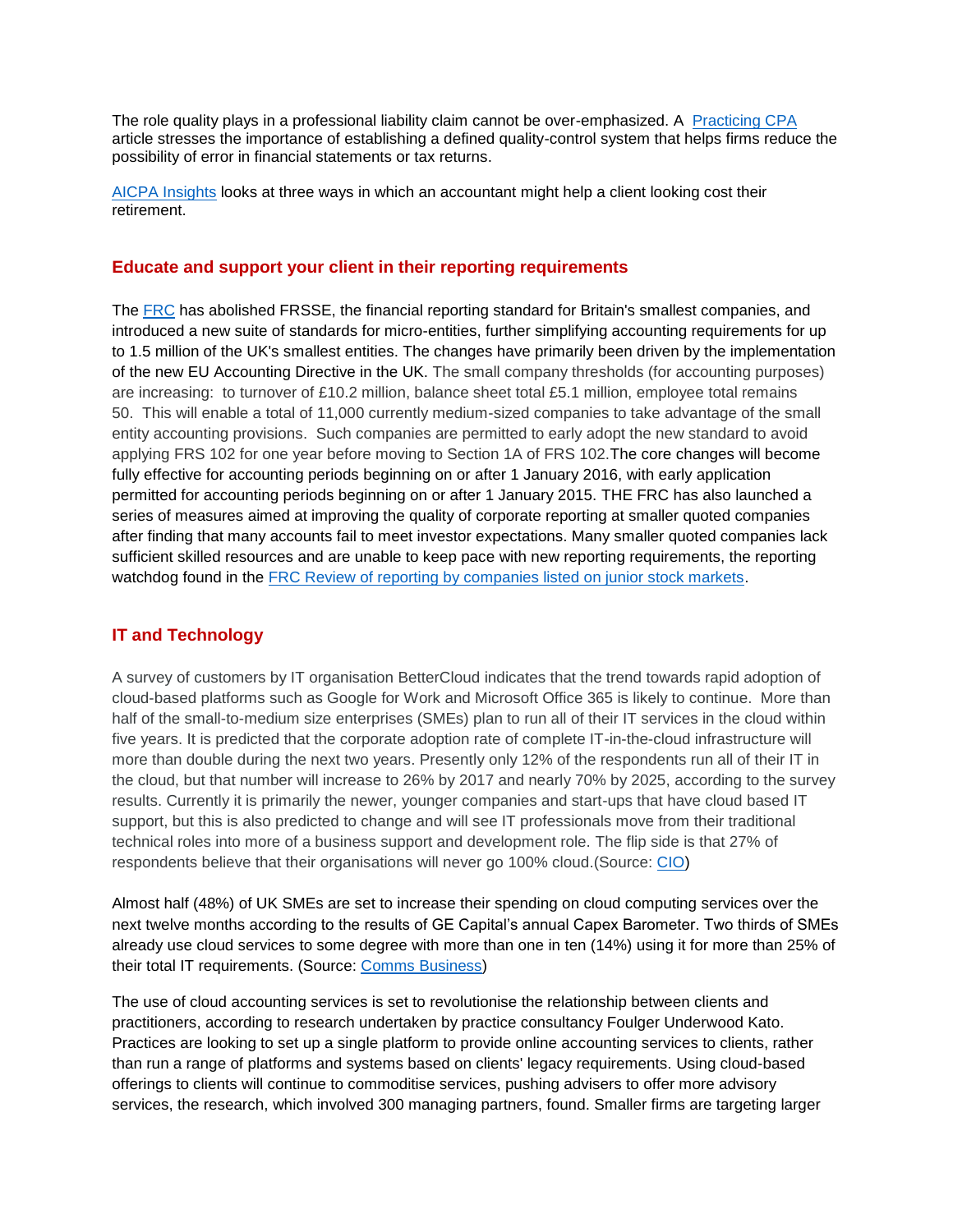The role quality plays in a professional liability claim cannot be over-emphasized. A [Practicing CPA](http://r.smartbrief.com/resp/gPaNCvfXnSCPeCAICidWtvCicNGujt) article stresses the importance of establishing a defined quality-control system that helps firms reduce the possibility of error in financial statements or tax returns.

[AICPA Insights](http://r.smartbrief.com/resp/gPjGCvfXnSCPfLdoCidWtvCicNkAQV?format=standard) looks at three ways in which an accountant might help a client looking cost their retirement.

## **Educate and support your client in their reporting requirements**

The [FRC](https://www.frc.org.uk/News-and-Events/FRC-Press/Press/2015/July/New-accounting-standards-offer-simplification-for.aspx) has abolished FRSSE, the financial reporting standard for Britain's smallest companies, and introduced a new suite of standards for micro-entities, further simplifying accounting requirements for up to 1.5 million of the UK's smallest entities. The changes have primarily been driven by the implementation of the new EU Accounting Directive in the UK. The small company thresholds (for accounting purposes) are increasing: to turnover of £10.2 million, balance sheet total £5.1 million, employee total remains 50. This will enable a total of 11,000 currently medium-sized companies to take advantage of the small entity accounting provisions. Such companies are permitted to early adopt the new standard to avoid applying FRS 102 for one year before moving to Section 1A of FRS 102.The core changes will become fully effective for accounting periods beginning on or after 1 January 2016, with early application permitted for accounting periods beginning on or after 1 January 2015. THE FRC has also launched a series of measures aimed at improving the quality of corporate reporting at smaller quoted companies after finding that many accounts fail to meet investor expectations. Many smaller quoted companies lack sufficient skilled resources and are unable to keep pace with new reporting requirements, the reporting watchdog found in the [FRC Review of reporting by companies listed on junior stock markets.](file://gbrsan01.op.cimaglobal.net/data$/Professional%20Standards%20and%20Conduct/Samantha)

# **IT and Technology**

A survey of customers by IT organisation BetterCloud indicates that the trend towards rapid adoption of cloud-based platforms such as Google for Work and Microsoft Office 365 is likely to continue. More than half of the small-to-medium size enterprises (SMEs) plan to run all of their IT services in the cloud within five years. It is predicted that the corporate adoption rate of complete IT-in-the-cloud infrastructure will more than double during the next two years. Presently only 12% of the respondents run all of their IT in the cloud, but that number will increase to 26% by 2017 and nearly 70% by 2025, according to the survey results. Currently it is primarily the newer, younger companies and start-ups that have cloud based IT support, but this is also predicted to change and will see IT professionals move from their traditional technical roles into more of a business support and development role. The flip side is that 27% of respondents believe that their organisations will never go 100% cloud.(Source: [CIO\)](http://www.cio.co.uk/insight/enterprise-apps/office-365-google-for-work-set-take-off-in-smes-3615950/)

Almost half (48%) of UK SMEs are set to increase their spending on cloud computing services over the next twelve months according to the results of GE Capital's annual Capex Barometer. Two thirds of SMEs already use cloud services to some degree with more than one in ten (14%) using it for more than 25% of their total IT requirements. (Source: [Comms Business\)](http://commsbusiness.co.uk/news/sme-to-increase-cloud-spend/?src=feed)

The use of cloud accounting services is set to revolutionise the relationship between clients and practitioners, according to research undertaken by practice consultancy Foulger Underwood Kato. Practices are looking to set up a single platform to provide online accounting services to clients, rather than run a range of platforms and systems based on clients' legacy requirements. Using cloud-based offerings to clients will continue to commoditise services, pushing advisers to offer more advisory services, the research, which involved 300 managing partners, found. Smaller firms are targeting larger